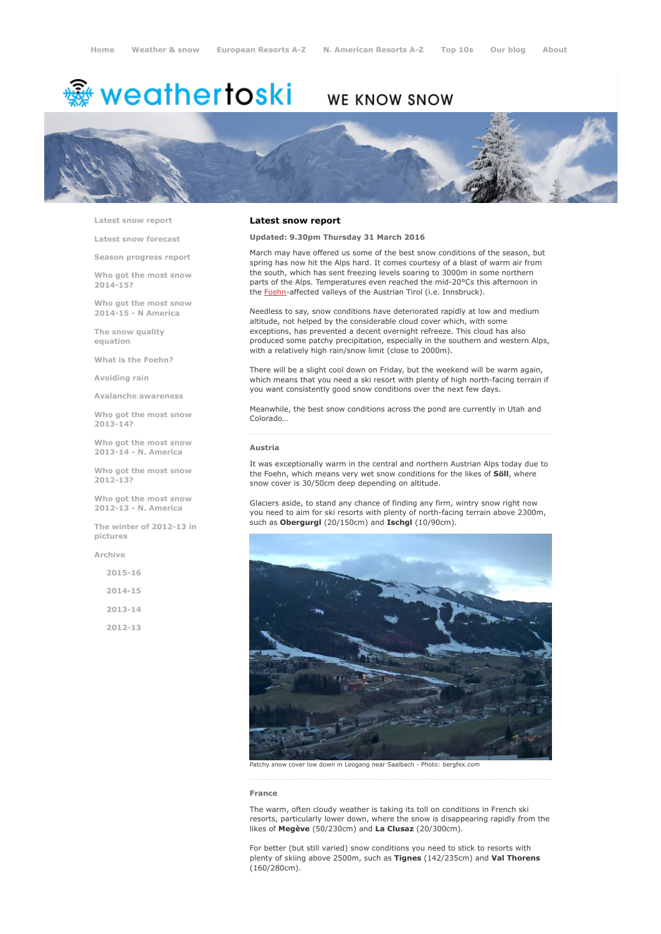# <del>鑾</del> weathertoski

# WE KNOW SNOW



Latest snow [report](http://www.weathertoski.co.uk/weather-snow/latest-snow-report/)

Latest snow [forecast](http://www.weathertoski.co.uk/weather-snow/latest-snow-forecast/)

Season [progress](http://www.weathertoski.co.uk/weather-snow/season-progress-report/) report

Who got the most snow 2014-15?

Who got the most snow 2014-15 - N America

The snow quality [equation](http://www.weathertoski.co.uk/weather-snow/the-snow-quality-equation/)

What is the [Foehn?](http://www.weathertoski.co.uk/weather-snow/what-is-the-foehn/)

[Avoiding](http://www.weathertoski.co.uk/weather-snow/avoiding-rain/) rain

Avalanche [awareness](http://www.weathertoski.co.uk/weather-snow/avalanche-awareness/)

Who got the most snow 2013-14?

Who got the most snow 2013-14 - N. America

Who got the most snow 2012-13?

Who got the most snow 2012-13 - N. America

The winter of 2012-13 in pictures

[Archive](http://www.weathertoski.co.uk/weather-snow/archive/)

2015-16 2014-15 2013-14 2012-13

# Latest snow report

Updated: 9.30pm Thursday 31 March 2016

March may have offered us some of the best snow conditions of the season, but spring has now hit the Alps hard. It comes courtesy of a blast of warm air from the south, which has sent freezing levels soaring to 3000m in some northern parts of the Alps. Temperatures even reached the mid-20°Cs this afternoon in the **[Foehn](http://www.weathertoski.co.uk/weather-snow/what-is-the-foehn/)**-affected valleys of the Austrian Tirol (i.e. Innsbruck).

Needless to say, snow conditions have deteriorated rapidly at low and medium altitude, not helped by the considerable cloud cover which, with some exceptions, has prevented a decent overnight refreeze. This cloud has also produced some patchy precipitation, especially in the southern and western Alps, with a relatively high rain/snow limit (close to 2000m).

There will be a slight cool down on Friday, but the weekend will be warm again, which means that you need a ski resort with plenty of high north-facing terrain if you want consistently good snow conditions over the next few days.

Meanwhile, the best snow conditions across the pond are currently in Utah and Colorado…

# Austria

It was exceptionally warm in the central and northern Austrian Alps today due to the Foehn, which means very wet snow conditions for the likes of Söll, where snow cover is 30/50cm deep depending on altitude.

Glaciers aside, to stand any chance of finding any firm, wintry snow right now you need to aim for ski resorts with plenty of north-facing terrain above 2300m, such as Obergurgl (20/150cm) and Ischgl (10/90cm).



Patchy snow cover low down in Leogang near Saalbach - Photo: bergfex.com

#### France

The warm, often cloudy weather is taking its toll on conditions in French ski resorts, particularly lower down, where the snow is disappearing rapidly from the likes of Megève (50/230cm) and La Clusaz (20/300cm).

For better (but still varied) snow conditions you need to stick to resorts with plenty of skiing above 2500m, such as Tignes (142/235cm) and Val Thorens (160/280cm).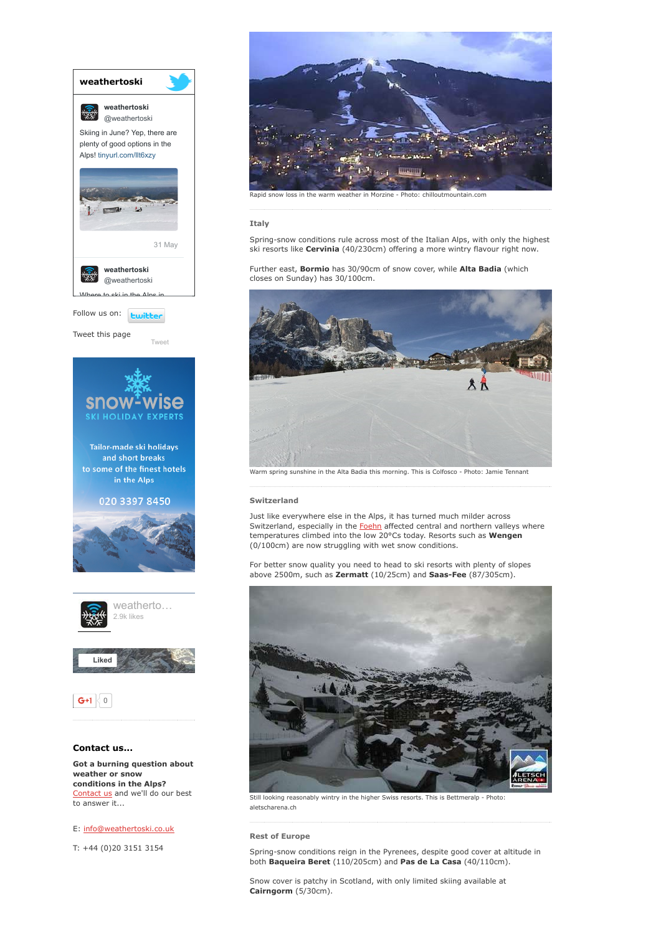

# E: [info@weathertoski.co.uk](mailto:fraser@weathertoski.co.uk)

T: +44 (0)20 3151 3154



### Italy

Spring-snow conditions rule across most of the Italian Alps, with only the highest ski resorts like Cervinia (40/230cm) offering a more wintry flavour right now.

Further east, **Bormio** has 30/90cm of snow cover, while **Alta Badia** (which closes on Sunday) has 30/100cm.



Warm spring sunshine in the Alta Badia this morning. This is Colfosco Photo: Jamie Tennant

# Switzerland

Just like everywhere else in the Alps, it has turned much milder across Switzerland, especially in the [Foehn](http://www.weathertoski.co.uk/weather-snow/what-is-the-foehn/) affected central and northern valleys where temperatures climbed into the low 20°Cs today. Resorts such as Wengen (0/100cm) are now struggling with wet snow conditions.

For better snow quality you need to head to ski resorts with plenty of slopes above 2500m, such as Zermatt  $(10/25cm)$  and Saas-Fee  $(87/305cm)$ .



Still looking reasonably wintry in the higher Swiss resorts. This is Bettmeralp - Photo: aletscharena.ch

Rest of Europe

Spring-snow conditions reign in the Pyrenees, despite good cover at altitude in both Baqueira Beret (110/205cm) and Pas de La Casa (40/110cm).

Snow cover is patchy in Scotland, with only limited skiing available at Cairngorm (5/30cm).